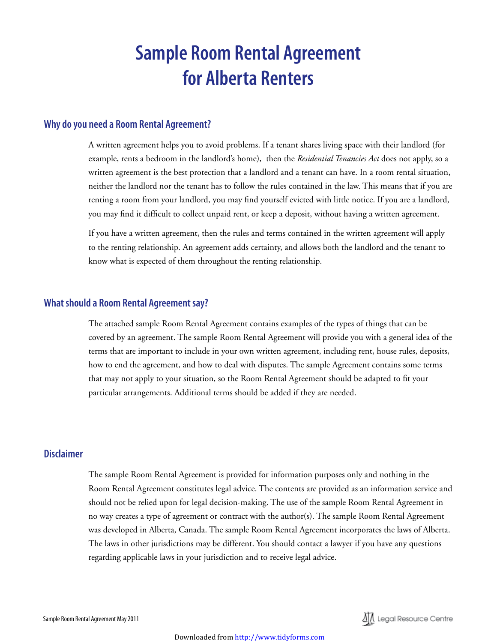# **Sample Room Rental Agreement for Alberta Renters**

## **Why do you need a Room Rental Agreement?**

A written agreement helps you to avoid problems. If a tenant shares living space with their landlord (for example, rents a bedroom in the landlord's home), then the *Residential Tenancies Act* does not apply, so a written agreement is the best protection that a landlord and a tenant can have. In a room rental situation, neither the landlord nor the tenant has to follow the rules contained in the law. This means that if you are renting a room from your landlord, you may find yourself evicted with little notice. If you are a landlord, you may find it difficult to collect unpaid rent, or keep a deposit, without having a written agreement.

If you have a written agreement, then the rules and terms contained in the written agreement will apply to the renting relationship. An agreement adds certainty, and allows both the landlord and the tenant to know what is expected of them throughout the renting relationship.

### **What should a Room Rental Agreement say?**

The attached sample Room Rental Agreement contains examples of the types of things that can be covered by an agreement. The sample Room Rental Agreement will provide you with a general idea of the terms that are important to include in your own written agreement, including rent, house rules, deposits, how to end the agreement, and how to deal with disputes. The sample Agreement contains some terms that may not apply to your situation, so the Room Rental Agreement should be adapted to fit your particular arrangements. Additional terms should be added if they are needed.

# **Disclaimer**

The sample Room Rental Agreement is provided for information purposes only and nothing in the Room Rental Agreement constitutes legal advice. The contents are provided as an information service and should not be relied upon for legal decision-making. The use of the sample Room Rental Agreement in no way creates a type of agreement or contract with the author(s). The sample Room Rental Agreement was developed in Alberta, Canada. The sample Room Rental Agreement incorporates the laws of Alberta. The laws in other jurisdictions may be different. You should contact a lawyer if you have any questions regarding applicable laws in your jurisdiction and to receive legal advice.

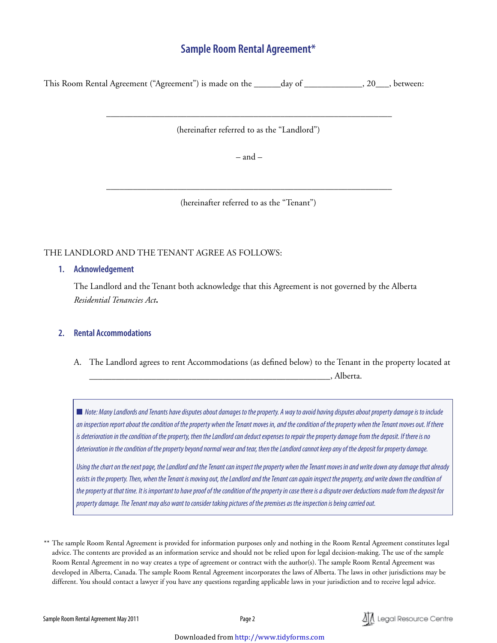# **Sample Room Rental Agreement\***

This Room Rental Agreement ("Agreement") is made on the \_\_\_\_\_\_day of \_\_\_\_\_\_\_\_\_\_\_\_\_, 20\_\_\_, between:

(hereinafter referred to as the "Landlord")

\_\_\_\_\_\_\_\_\_\_\_\_\_\_\_\_\_\_\_\_\_\_\_\_\_\_\_\_\_\_\_\_\_\_\_\_\_\_\_\_\_\_\_\_\_\_\_\_\_\_\_\_\_\_\_\_\_\_\_\_\_\_\_\_

 $-$  and  $-$ 

(hereinafter referred to as the "Tenant")

\_\_\_\_\_\_\_\_\_\_\_\_\_\_\_\_\_\_\_\_\_\_\_\_\_\_\_\_\_\_\_\_\_\_\_\_\_\_\_\_\_\_\_\_\_\_\_\_\_\_\_\_\_\_\_\_\_\_\_\_\_\_\_\_

#### THE LANDLORD AND THE TENANT AGREE AS FOLLOWS:

#### **1. Acknowledgement**

The Landlord and the Tenant both acknowledge that this Agreement is not governed by the Alberta *Residential Tenancies Act***.**

#### **2. Rental Accommodations**

A. The Landlord agrees to rent Accommodations (as defined below) to the Tenant in the property located at \_\_\_\_\_\_\_\_\_\_\_\_\_\_\_\_\_\_\_\_\_\_\_\_\_\_\_\_\_\_\_\_\_\_\_\_\_\_\_\_\_\_\_\_\_\_\_\_\_\_\_\_\_\_, Alberta.

■ Note: Many Landlords and Tenants have disputes about damages to the property. A way to avoid having disputes about property damage is to include *an inspection report about the condition of the property when the Tenant moves in, and the condition of the property when the Tenant moves out. If there is deterioration in the condition of the property, then the Landlord can deduct expenses to repair the property damage from the deposit. If there is no deterioration in the condition of the property beyond normal wear and tear, then the Landlord cannot keep any of the deposit for property damage.* 

*Using the chart on the next page, the Landlord and the Tenant can inspect the property when the Tenant moves in and write down any damage that already exists in the property. Then, when the Tenant is moving out, the Landlord and the Tenant can again inspect the property, and write down the condition of the property at that time. It is important to have proof of the condition of the property in case there is a dispute over deductions made from the deposit for property damage. The Tenant may also want to consider taking pictures of the premises as the inspection is being carried out.* 



<sup>\*\*</sup> The sample Room Rental Agreement is provided for information purposes only and nothing in the Room Rental Agreement constitutes legal advice. The contents are provided as an information service and should not be relied upon for legal decision-making. The use of the sample Room Rental Agreement in no way creates a type of agreement or contract with the author(s). The sample Room Rental Agreement was developed in Alberta, Canada. The sample Room Rental Agreement incorporates the laws of Alberta. The laws in other jurisdictions may be different. You should contact a lawyer if you have any questions regarding applicable laws in your jurisdiction and to receive legal advice.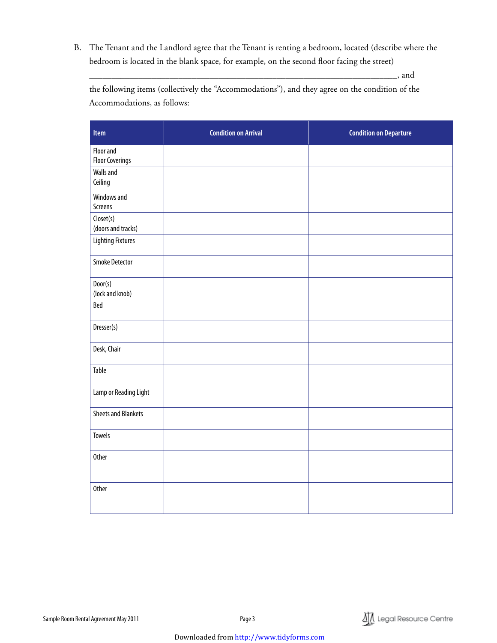B. The Tenant and the Landlord agree that the Tenant is renting a bedroom, located (describe where the bedroom is located in the blank space, for example, on the second floor facing the street)

\_\_\_\_\_\_\_\_\_\_\_\_\_\_\_\_\_\_\_\_\_\_\_\_\_\_\_\_\_\_\_\_\_\_\_\_\_\_\_\_\_\_\_\_\_\_\_\_\_\_\_\_\_\_\_\_\_\_\_\_\_\_\_\_\_\_\_\_\_, and

the following items (collectively the "Accommodations"), and they agree on the condition of the Accommodations, as follows:

| Item                                | <b>Condition on Arrival</b> | <b>Condition on Departure</b> |
|-------------------------------------|-----------------------------|-------------------------------|
| Floor and<br><b>Floor Coverings</b> |                             |                               |
| Walls and<br>Ceiling                |                             |                               |
| Windows and<br>Screens              |                             |                               |
| Closet(s)<br>(doors and tracks)     |                             |                               |
| Lighting Fixtures                   |                             |                               |
| <b>Smoke Detector</b>               |                             |                               |
| Door(s)<br>(lock and knob)          |                             |                               |
| Bed                                 |                             |                               |
| Dresser(s)                          |                             |                               |
| Desk, Chair                         |                             |                               |
| Table                               |                             |                               |
| Lamp or Reading Light               |                             |                               |
| <b>Sheets and Blankets</b>          |                             |                               |
| <b>Towels</b>                       |                             |                               |
| <b>Other</b>                        |                             |                               |
| <b>Other</b>                        |                             |                               |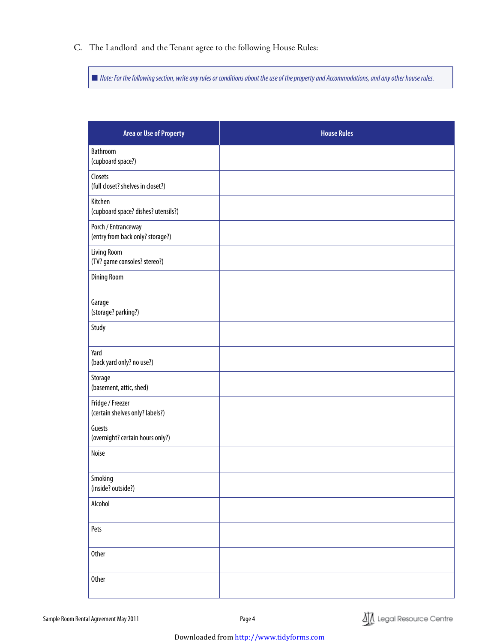C. The Landlord and the Tenant agree to the following House Rules:

■ Note: For the following section, write any rules or conditions about the use of the property and Accommodations, and any other house rules.

| <b>Area or Use of Property</b>                          | <b>House Rules</b> |
|---------------------------------------------------------|--------------------|
| <b>Bathroom</b><br>(cupboard space?)                    |                    |
| Closets<br>(full closet? shelves in closet?)            |                    |
| Kitchen<br>(cupboard space? dishes? utensils?)          |                    |
| Porch / Entranceway<br>(entry from back only? storage?) |                    |
| Living Room<br>(TV? game consoles? stereo?)             |                    |
| <b>Dining Room</b>                                      |                    |
| Garage<br>(storage? parking?)                           |                    |
| Study                                                   |                    |
| Yard<br>(back yard only? no use?)                       |                    |
| Storage<br>(basement, attic, shed)                      |                    |
| Fridge / Freezer<br>(certain shelves only? labels?)     |                    |
| Guests<br>(overnight? certain hours only?)              |                    |
| Noise                                                   |                    |
| Smoking<br>(inside? outside?)                           |                    |
| Alcohol                                                 |                    |
| Pets                                                    |                    |
| <b>Other</b>                                            |                    |
| <b>Other</b>                                            |                    |

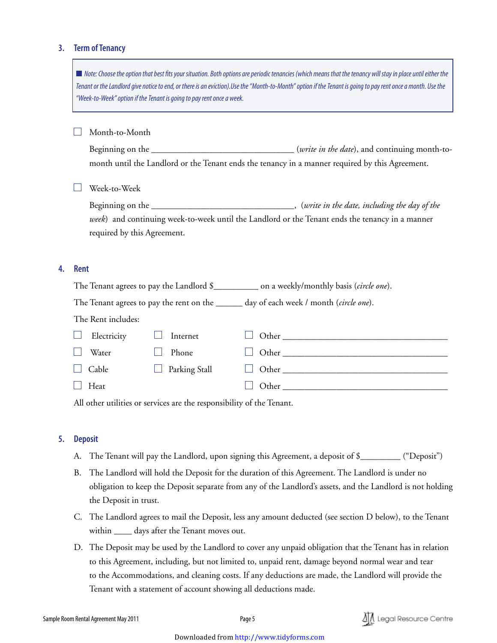#### **3. Term of Tenancy**

| Note: Choose the option that best fits your situation. Both options are periodic tenancies (which means that the tenancy will stay in place until either the<br>Tenant or the Landlord give notice to end, or there is an eviction). Use the "Month-to-Month" option if the Tenant is going to pay rent once a month. Use the<br>"Week-to-Week" option if the Tenant is going to pay rent once a week. |                                                                                                                                |  |                                                                       |  |                                                                                                 |  |  |
|--------------------------------------------------------------------------------------------------------------------------------------------------------------------------------------------------------------------------------------------------------------------------------------------------------------------------------------------------------------------------------------------------------|--------------------------------------------------------------------------------------------------------------------------------|--|-----------------------------------------------------------------------|--|-------------------------------------------------------------------------------------------------|--|--|
|                                                                                                                                                                                                                                                                                                                                                                                                        | Month-to-Month                                                                                                                 |  |                                                                       |  | month until the Landlord or the Tenant ends the tenancy in a manner required by this Agreement. |  |  |
|                                                                                                                                                                                                                                                                                                                                                                                                        | Week-to-Week                                                                                                                   |  |                                                                       |  |                                                                                                 |  |  |
|                                                                                                                                                                                                                                                                                                                                                                                                        | week) and continuing week-to-week until the Landlord or the Tenant ends the tenancy in a manner<br>required by this Agreement. |  |                                                                       |  |                                                                                                 |  |  |
| <b>Rent</b>                                                                                                                                                                                                                                                                                                                                                                                            |                                                                                                                                |  |                                                                       |  |                                                                                                 |  |  |
| The Tenant agrees to pay the Landlord \$_____________ on a weekly/monthly basis (circle one).                                                                                                                                                                                                                                                                                                          |                                                                                                                                |  |                                                                       |  |                                                                                                 |  |  |
| The Tenant agrees to pay the rent on the ______ day of each week / month (circle one).                                                                                                                                                                                                                                                                                                                 |                                                                                                                                |  |                                                                       |  |                                                                                                 |  |  |
| The Rent includes:                                                                                                                                                                                                                                                                                                                                                                                     |                                                                                                                                |  |                                                                       |  |                                                                                                 |  |  |
|                                                                                                                                                                                                                                                                                                                                                                                                        | Electricity                                                                                                                    |  | Internet                                                              |  |                                                                                                 |  |  |
|                                                                                                                                                                                                                                                                                                                                                                                                        | Water                                                                                                                          |  | Phone                                                                 |  |                                                                                                 |  |  |
|                                                                                                                                                                                                                                                                                                                                                                                                        | Cable                                                                                                                          |  | Parking Stall                                                         |  |                                                                                                 |  |  |
|                                                                                                                                                                                                                                                                                                                                                                                                        | Heat                                                                                                                           |  |                                                                       |  |                                                                                                 |  |  |
|                                                                                                                                                                                                                                                                                                                                                                                                        |                                                                                                                                |  | All other utilities or services are the responsibility of the Tenant. |  |                                                                                                 |  |  |

#### **5. Deposit**

**4. Rent**

- A. The Tenant will pay the Landlord, upon signing this Agreement, a deposit of \$\_\_\_\_\_\_\_\_\_ ("Deposit")
- B. The Landlord will hold the Deposit for the duration of this Agreement. The Landlord is under no obligation to keep the Deposit separate from any of the Landlord's assets, and the Landlord is not holding the Deposit in trust.
- C. The Landlord agrees to mail the Deposit, less any amount deducted (see section D below), to the Tenant within \_\_\_\_\_ days after the Tenant moves out.
- D. The Deposit may be used by the Landlord to cover any unpaid obligation that the Tenant has in relation to this Agreement, including, but not limited to, unpaid rent, damage beyond normal wear and tear to the Accommodations, and cleaning costs. If any deductions are made, the Landlord will provide the Tenant with a statement of account showing all deductions made.

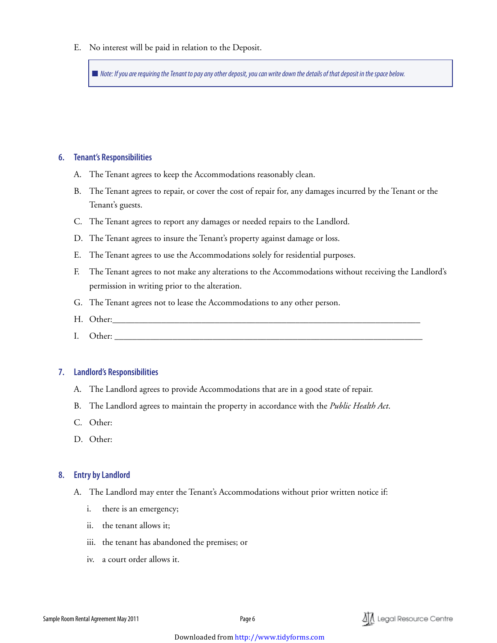E. No interest will be paid in relation to the Deposit.

■ *Note: If you are requiring the Tenant to pay any other deposit, you can write down the details of that deposit in the space below.* 

#### **6. Tenant's Responsibilities**

- A. The Tenant agrees to keep the Accommodations reasonably clean.
- B. The Tenant agrees to repair, or cover the cost of repair for, any damages incurred by the Tenant or the Tenant's guests.
- C. The Tenant agrees to report any damages or needed repairs to the Landlord.
- D. The Tenant agrees to insure the Tenant's property against damage or loss.
- E. The Tenant agrees to use the Accommodations solely for residential purposes.
- F. The Tenant agrees to not make any alterations to the Accommodations without receiving the Landlord's permission in writing prior to the alteration.
- G. The Tenant agrees not to lease the Accommodations to any other person.
- H. Other:
- I. Other:

#### **7. Landlord's Responsibilities**

- A. The Landlord agrees to provide Accommodations that are in a good state of repair.
- B. The Landlord agrees to maintain the property in accordance with the *Public Health Act*.
- C. Other:
- D. Other:

#### **8. Entry by Landlord**

- A. The Landlord may enter the Tenant's Accommodations without prior written notice if:
	- i. there is an emergency;
	- ii. the tenant allows it;
	- iii. the tenant has abandoned the premises; or
	- iv. a court order allows it.

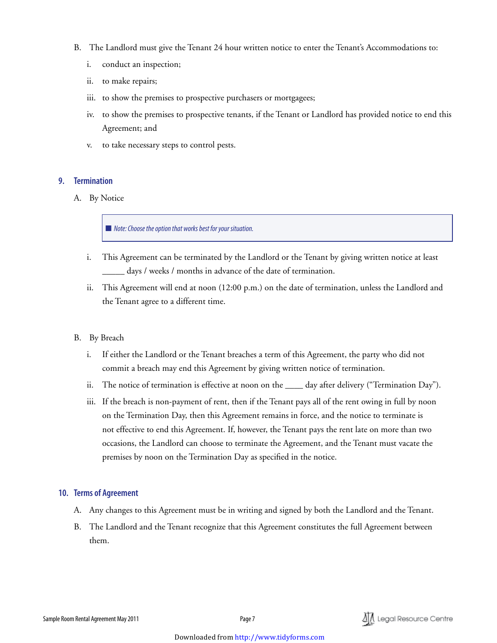- B. The Landlord must give the Tenant 24 hour written notice to enter the Tenant's Accommodations to:
	- i. conduct an inspection;
	- ii. to make repairs;
	- iii. to show the premises to prospective purchasers or mortgagees;
	- iv. to show the premises to prospective tenants, if the Tenant or Landlord has provided notice to end this Agreement; and
	- v. to take necessary steps to control pests.

#### **9. Termination**

A. By Notice

■ *Note: Choose the option that works best for your situation.* 

- i. This Agreement can be terminated by the Landlord or the Tenant by giving written notice at least days / weeks / months in advance of the date of termination.
- ii. This Agreement will end at noon (12:00 p.m.) on the date of termination, unless the Landlord and the Tenant agree to a different time.
- B. By Breach
	- i. If either the Landlord or the Tenant breaches a term of this Agreement, the party who did not commit a breach may end this Agreement by giving written notice of termination.
	- ii. The notice of termination is effective at noon on the \_\_\_\_ day after delivery ("Termination Day").
	- iii. If the breach is non-payment of rent, then if the Tenant pays all of the rent owing in full by noon on the Termination Day, then this Agreement remains in force, and the notice to terminate is not effective to end this Agreement. If, however, the Tenant pays the rent late on more than two occasions, the Landlord can choose to terminate the Agreement, and the Tenant must vacate the premises by noon on the Termination Day as specified in the notice.

#### **10. Terms of Agreement**

- A. Any changes to this Agreement must be in writing and signed by both the Landlord and the Tenant.
- B. The Landlord and the Tenant recognize that this Agreement constitutes the full Agreement between them.